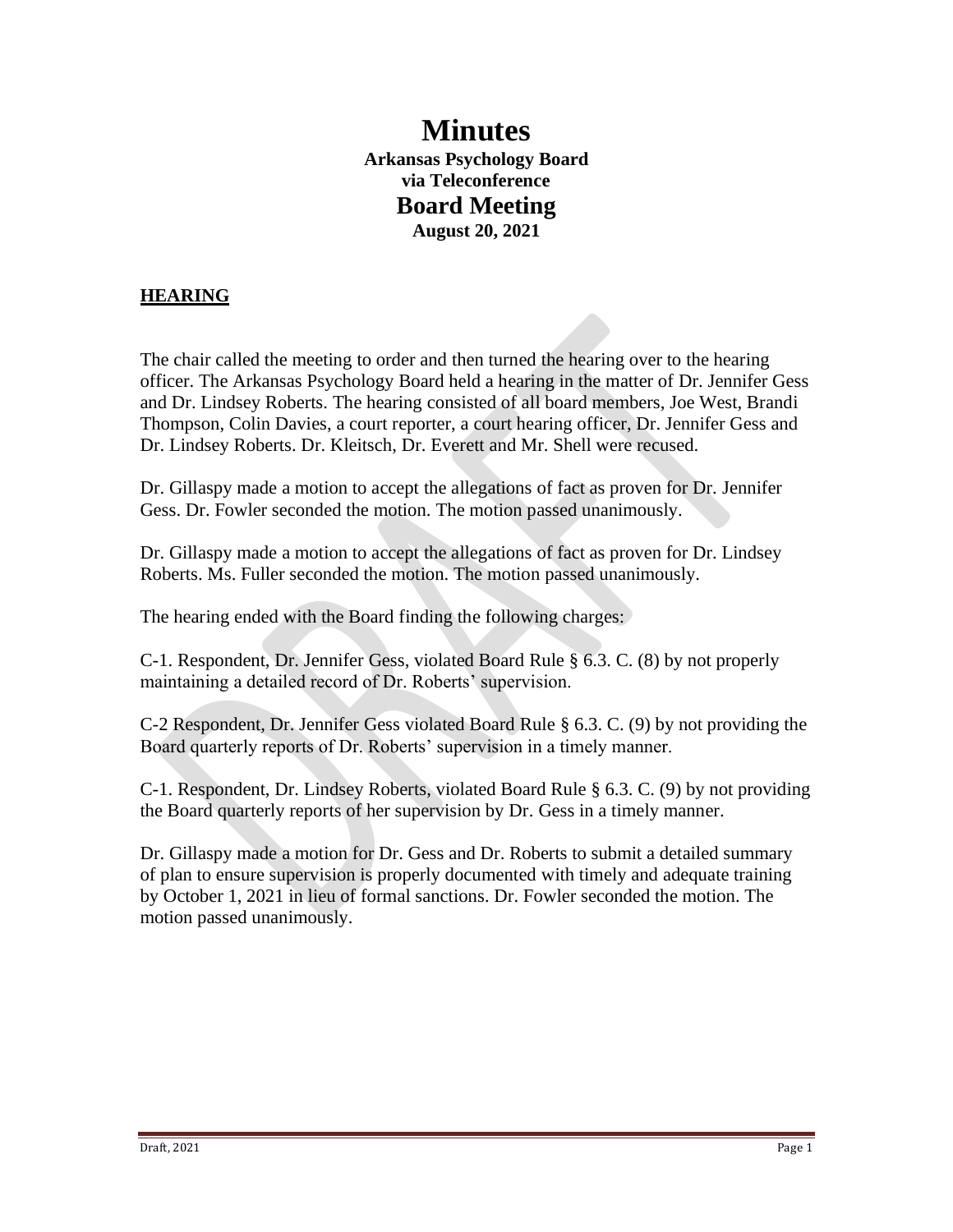# **Minutes Arkansas Psychology Board via Teleconference Board Meeting August 20, 2021**

# **HEARING**

The chair called the meeting to order and then turned the hearing over to the hearing officer. The Arkansas Psychology Board held a hearing in the matter of Dr. Jennifer Gess and Dr. Lindsey Roberts. The hearing consisted of all board members, Joe West, Brandi Thompson, Colin Davies, a court reporter, a court hearing officer, Dr. Jennifer Gess and Dr. Lindsey Roberts. Dr. Kleitsch, Dr. Everett and Mr. Shell were recused.

Dr. Gillaspy made a motion to accept the allegations of fact as proven for Dr. Jennifer Gess. Dr. Fowler seconded the motion. The motion passed unanimously.

Dr. Gillaspy made a motion to accept the allegations of fact as proven for Dr. Lindsey Roberts. Ms. Fuller seconded the motion. The motion passed unanimously.

The hearing ended with the Board finding the following charges:

C-1. Respondent, Dr. Jennifer Gess, violated Board Rule § 6.3. C. (8) by not properly maintaining a detailed record of Dr. Roberts' supervision.

C-2 Respondent, Dr. Jennifer Gess violated Board Rule § 6.3. C. (9) by not providing the Board quarterly reports of Dr. Roberts' supervision in a timely manner.

C-1. Respondent, Dr. Lindsey Roberts, violated Board Rule § 6.3. C. (9) by not providing the Board quarterly reports of her supervision by Dr. Gess in a timely manner.

Dr. Gillaspy made a motion for Dr. Gess and Dr. Roberts to submit a detailed summary of plan to ensure supervision is properly documented with timely and adequate training by October 1, 2021 in lieu of formal sanctions. Dr. Fowler seconded the motion. The motion passed unanimously.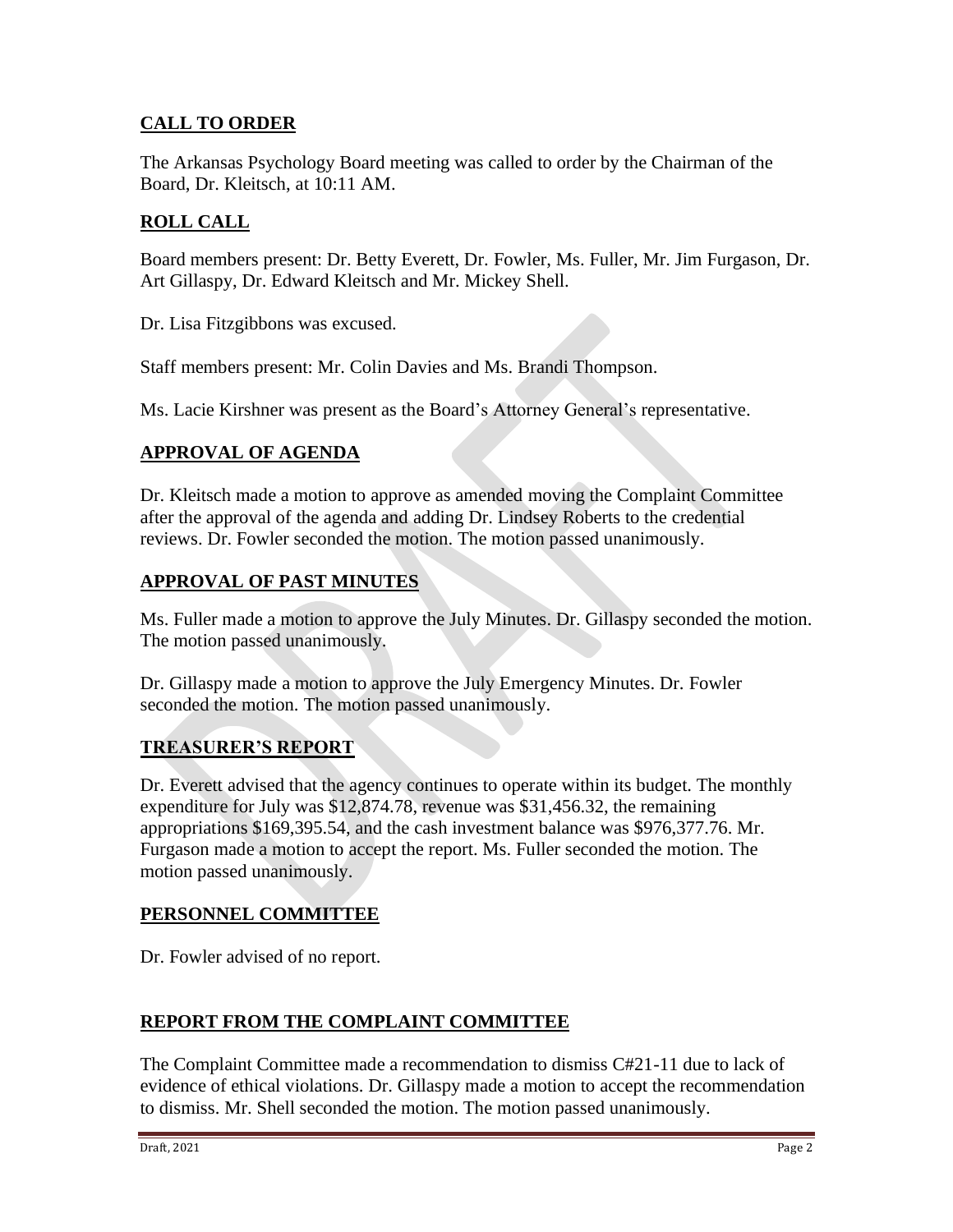# **CALL TO ORDER**

The Arkansas Psychology Board meeting was called to order by the Chairman of the Board, Dr. Kleitsch, at 10:11 AM.

# **ROLL CALL**

Board members present: Dr. Betty Everett, Dr. Fowler, Ms. Fuller, Mr. Jim Furgason, Dr. Art Gillaspy, Dr. Edward Kleitsch and Mr. Mickey Shell.

Dr. Lisa Fitzgibbons was excused.

Staff members present: Mr. Colin Davies and Ms. Brandi Thompson.

Ms. Lacie Kirshner was present as the Board's Attorney General's representative.

# **APPROVAL OF AGENDA**

Dr. Kleitsch made a motion to approve as amended moving the Complaint Committee after the approval of the agenda and adding Dr. Lindsey Roberts to the credential reviews. Dr. Fowler seconded the motion. The motion passed unanimously.

#### **APPROVAL OF PAST MINUTES**

Ms. Fuller made a motion to approve the July Minutes. Dr. Gillaspy seconded the motion. The motion passed unanimously.

Dr. Gillaspy made a motion to approve the July Emergency Minutes. Dr. Fowler seconded the motion. The motion passed unanimously.

#### **TREASURER'S REPORT**

Dr. Everett advised that the agency continues to operate within its budget. The monthly expenditure for July was \$12,874.78, revenue was \$31,456.32, the remaining appropriations \$169,395.54, and the cash investment balance was \$976,377.76. Mr. Furgason made a motion to accept the report. Ms. Fuller seconded the motion. The motion passed unanimously.

#### **PERSONNEL COMMITTEE**

Dr. Fowler advised of no report.

# **REPORT FROM THE COMPLAINT COMMITTEE**

The Complaint Committee made a recommendation to dismiss C#21-11 due to lack of evidence of ethical violations. Dr. Gillaspy made a motion to accept the recommendation to dismiss. Mr. Shell seconded the motion. The motion passed unanimously.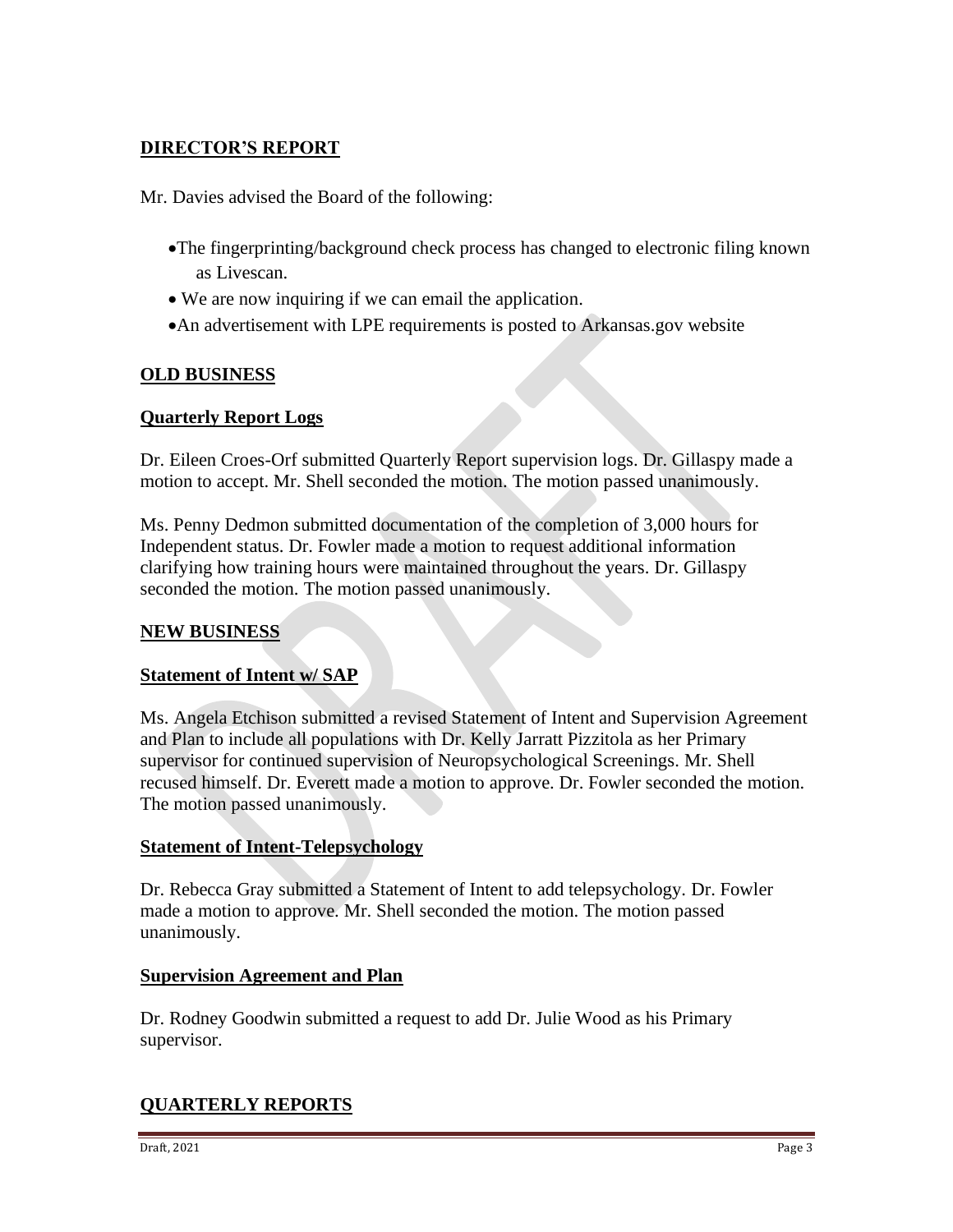# **DIRECTOR'S REPORT**

Mr. Davies advised the Board of the following:

- •The fingerprinting/background check process has changed to electronic filing known as Livescan.
- We are now inquiring if we can email the application.
- •An advertisement with LPE requirements is posted to Arkansas.gov website

#### **OLD BUSINESS**

#### **Quarterly Report Logs**

Dr. Eileen Croes-Orf submitted Quarterly Report supervision logs. Dr. Gillaspy made a motion to accept. Mr. Shell seconded the motion. The motion passed unanimously.

Ms. Penny Dedmon submitted documentation of the completion of 3,000 hours for Independent status. Dr. Fowler made a motion to request additional information clarifying how training hours were maintained throughout the years. Dr. Gillaspy seconded the motion. The motion passed unanimously.

#### **NEW BUSINESS**

#### **Statement of Intent w/ SAP**

Ms. Angela Etchison submitted a revised Statement of Intent and Supervision Agreement and Plan to include all populations with Dr. Kelly Jarratt Pizzitola as her Primary supervisor for continued supervision of Neuropsychological Screenings. Mr. Shell recused himself. Dr. Everett made a motion to approve. Dr. Fowler seconded the motion. The motion passed unanimously.

#### **Statement of Intent-Telepsychology**

Dr. Rebecca Gray submitted a Statement of Intent to add telepsychology. Dr. Fowler made a motion to approve. Mr. Shell seconded the motion. The motion passed unanimously.

#### **Supervision Agreement and Plan**

Dr. Rodney Goodwin submitted a request to add Dr. Julie Wood as his Primary supervisor.

#### **QUARTERLY REPORTS**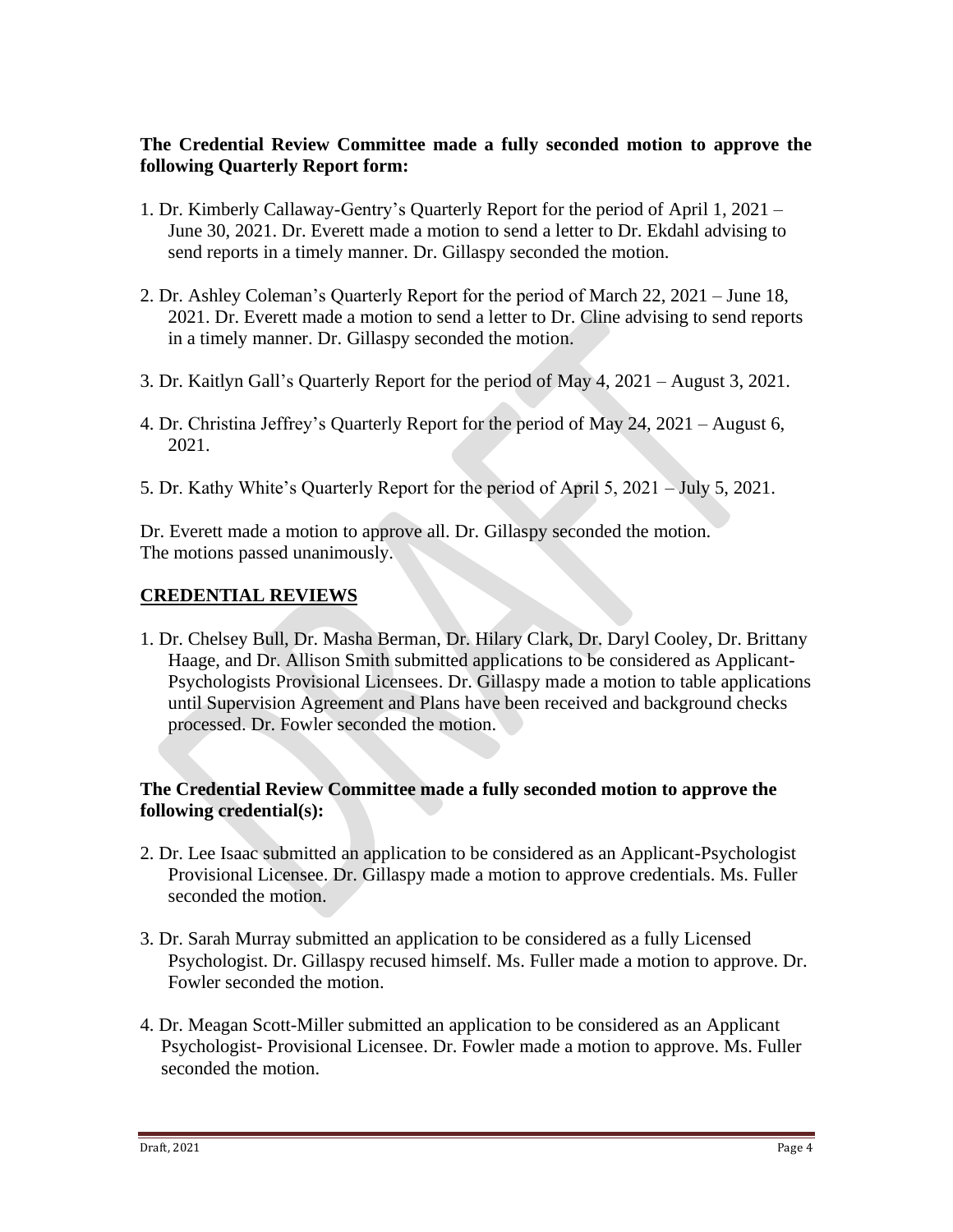#### **The Credential Review Committee made a fully seconded motion to approve the following Quarterly Report form:**

- 1. Dr. Kimberly Callaway-Gentry's Quarterly Report for the period of April 1, 2021 June 30, 2021. Dr. Everett made a motion to send a letter to Dr. Ekdahl advising to send reports in a timely manner. Dr. Gillaspy seconded the motion.
- 2. Dr. Ashley Coleman's Quarterly Report for the period of March 22, 2021 June 18, 2021. Dr. Everett made a motion to send a letter to Dr. Cline advising to send reports in a timely manner. Dr. Gillaspy seconded the motion.
- 3. Dr. Kaitlyn Gall's Quarterly Report for the period of May 4, 2021 August 3, 2021.
- 4. Dr. Christina Jeffrey's Quarterly Report for the period of May 24, 2021 August 6, 2021.
- 5. Dr. Kathy White's Quarterly Report for the period of April 5, 2021 July 5, 2021.

Dr. Everett made a motion to approve all. Dr. Gillaspy seconded the motion. The motions passed unanimously.

# **CREDENTIAL REVIEWS**

1. Dr. Chelsey Bull, Dr. Masha Berman, Dr. Hilary Clark, Dr. Daryl Cooley, Dr. Brittany Haage, and Dr. Allison Smith submitted applications to be considered as Applicant-Psychologists Provisional Licensees. Dr. Gillaspy made a motion to table applications until Supervision Agreement and Plans have been received and background checks processed. Dr. Fowler seconded the motion.

#### **The Credential Review Committee made a fully seconded motion to approve the following credential(s):**

- 2. Dr. Lee Isaac submitted an application to be considered as an Applicant-Psychologist Provisional Licensee. Dr. Gillaspy made a motion to approve credentials. Ms. Fuller seconded the motion.
- 3. Dr. Sarah Murray submitted an application to be considered as a fully Licensed Psychologist. Dr. Gillaspy recused himself. Ms. Fuller made a motion to approve. Dr. Fowler seconded the motion.
- 4. Dr. Meagan Scott-Miller submitted an application to be considered as an Applicant Psychologist- Provisional Licensee. Dr. Fowler made a motion to approve. Ms. Fuller seconded the motion.